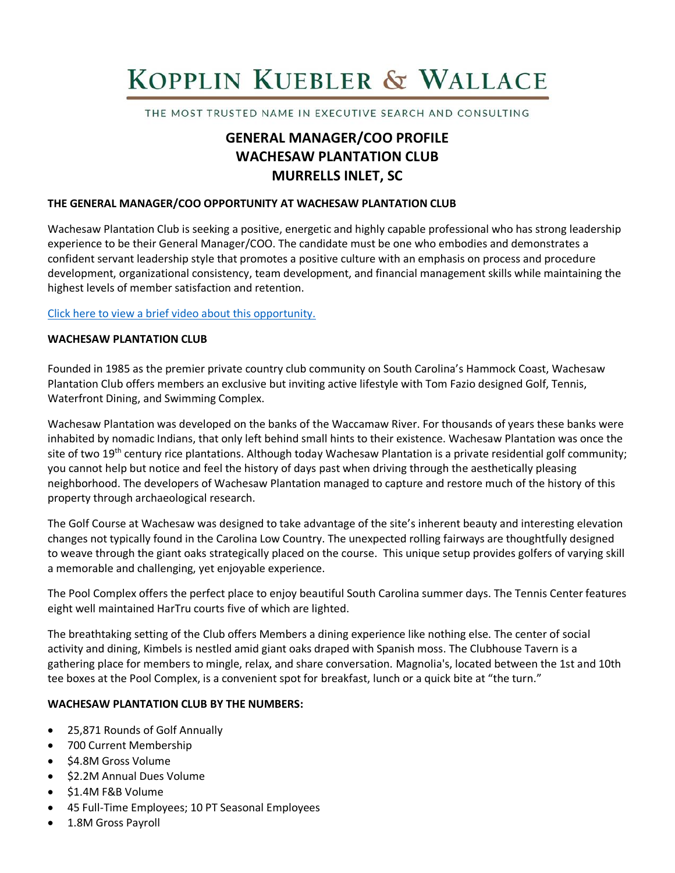# KOPPLIN KUEBLER & WALLACE

THE MOST TRUSTED NAME IN EXECUTIVE SEARCH AND CONSULTING

# **GENERAL MANAGER/COO PROFILE WACHESAW PLANTATION CLUB MURRELLS INLET, SC**

#### **THE GENERAL MANAGER/COO OPPORTUNITY AT WACHESAW PLANTATION CLUB**

Wachesaw Plantation Club is seeking a positive, energetic and highly capable professional who has strong leadership experience to be their General Manager/COO. The candidate must be one who embodies and demonstrates a confident servant leadership style that promotes a positive culture with an emphasis on process and procedure development, organizational consistency, team development, and financial management skills while maintaining the highest levels of member satisfaction and retention.

#### [Click here to view a brief video about this opportunity.](https://www.youtube.com/watch?v=izDDG7zWJ-c)

#### **WACHESAW PLANTATION CLUB**

Founded in 1985 as the premier private country club community on South Carolina's Hammock Coast, Wachesaw Plantation Club offers members an exclusive but inviting active lifestyle with Tom Fazio designed Golf, Tennis, Waterfront Dining, and Swimming Complex.

Wachesaw Plantation was developed on the banks of the Waccamaw River. For thousands of years these banks were inhabited by nomadic Indians, that only left behind small hints to their existence. Wachesaw Plantation was once the site of two 19<sup>th</sup> century rice plantations. Although today Wachesaw Plantation is a private residential golf community; you cannot help but notice and feel the history of days past when driving through the aesthetically pleasing neighborhood. The developers of Wachesaw Plantation managed to capture and restore much of the history of this property through archaeological research.

The Golf Course at Wachesaw was designed to take advantage of the site's inherent beauty and interesting elevation changes not typically found in the Carolina Low Country. The unexpected rolling fairways are thoughtfully designed to weave through the giant oaks strategically placed on the course. This unique setup provides golfers of varying skill a memorable and challenging, yet enjoyable experience.

The Pool Complex offers the perfect place to enjoy beautiful South Carolina summer days. The Tennis Center features eight well maintained HarTru courts five of which are lighted.

The breathtaking setting of the Club offers Members a dining experience like nothing else. The center of social activity and dining, Kimbels is nestled amid giant oaks draped with Spanish moss. The Clubhouse Tavern is a gathering place for members to mingle, relax, and share conversation. Magnolia's, located between the 1st and 10th tee boxes at the Pool Complex, is a convenient spot for breakfast, lunch or a quick bite at "the turn."

# **WACHESAW PLANTATION CLUB BY THE NUMBERS:**

- 25,871 Rounds of Golf Annually
- 700 Current Membership
- \$4.8M Gross Volume
- \$2.2M Annual Dues Volume
- \$1.4M F&B Volume
- 45 Full-Time Employees; 10 PT Seasonal Employees
- 1.8M Gross Payroll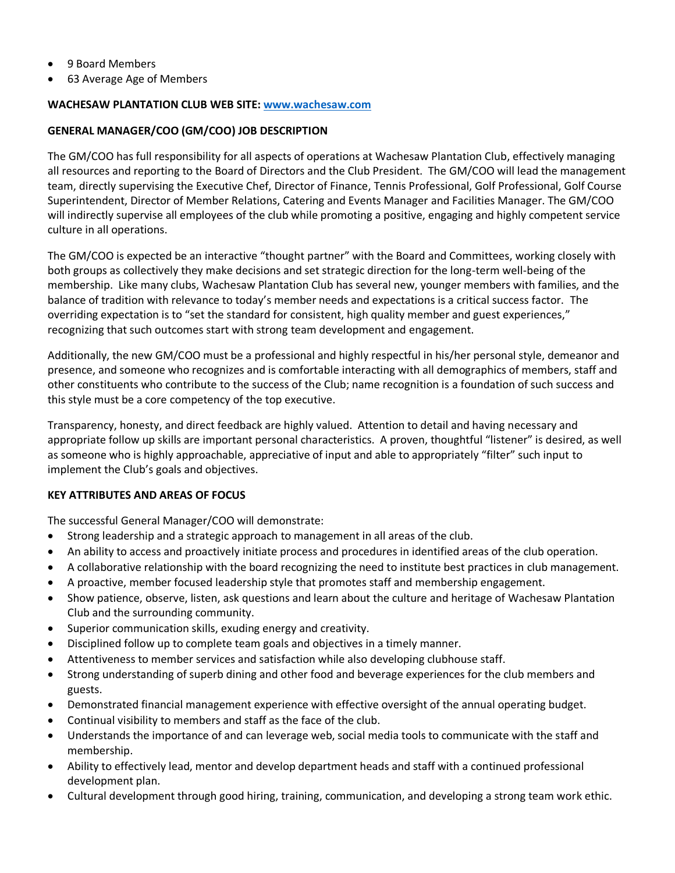- 9 Board Members
- 63 Average Age of Members

# **WACHESAW PLANTATION CLUB WEB SITE: [www.wachesaw.com](https://www.wachesaw.com/)**

# **GENERAL MANAGER/COO (GM/COO) JOB DESCRIPTION**

The GM/COO has full responsibility for all aspects of operations at Wachesaw Plantation Club, effectively managing all resources and reporting to the Board of Directors and the Club President. The GM/COO will lead the management team, directly supervising the Executive Chef, Director of Finance, Tennis Professional, Golf Professional, Golf Course Superintendent, Director of Member Relations, Catering and Events Manager and Facilities Manager. The GM/COO will indirectly supervise all employees of the club while promoting a positive, engaging and highly competent service culture in all operations.

The GM/COO is expected be an interactive "thought partner" with the Board and Committees, working closely with both groups as collectively they make decisions and set strategic direction for the long-term well-being of the membership. Like many clubs, Wachesaw Plantation Club has several new, younger members with families, and the balance of tradition with relevance to today's member needs and expectations is a critical success factor. The overriding expectation is to "set the standard for consistent, high quality member and guest experiences," recognizing that such outcomes start with strong team development and engagement.

Additionally, the new GM/COO must be a professional and highly respectful in his/her personal style, demeanor and presence, and someone who recognizes and is comfortable interacting with all demographics of members, staff and other constituents who contribute to the success of the Club; name recognition is a foundation of such success and this style must be a core competency of the top executive.

Transparency, honesty, and direct feedback are highly valued. Attention to detail and having necessary and appropriate follow up skills are important personal characteristics. A proven, thoughtful "listener" is desired, as well as someone who is highly approachable, appreciative of input and able to appropriately "filter" such input to implement the Club's goals and objectives.

# **KEY ATTRIBUTES AND AREAS OF FOCUS**

The successful General Manager/COO will demonstrate:

- Strong leadership and a strategic approach to management in all areas of the club.
- An ability to access and proactively initiate process and procedures in identified areas of the club operation.
- A collaborative relationship with the board recognizing the need to institute best practices in club management.
- A proactive, member focused leadership style that promotes staff and membership engagement.
- Show patience, observe, listen, ask questions and learn about the culture and heritage of Wachesaw Plantation Club and the surrounding community.
- Superior communication skills, exuding energy and creativity.
- Disciplined follow up to complete team goals and objectives in a timely manner.
- Attentiveness to member services and satisfaction while also developing clubhouse staff.
- Strong understanding of superb dining and other food and beverage experiences for the club members and guests.
- Demonstrated financial management experience with effective oversight of the annual operating budget.
- Continual visibility to members and staff as the face of the club.
- Understands the importance of and can leverage web, social media tools to communicate with the staff and membership.
- Ability to effectively lead, mentor and develop department heads and staff with a continued professional development plan.
- Cultural development through good hiring, training, communication, and developing a strong team work ethic.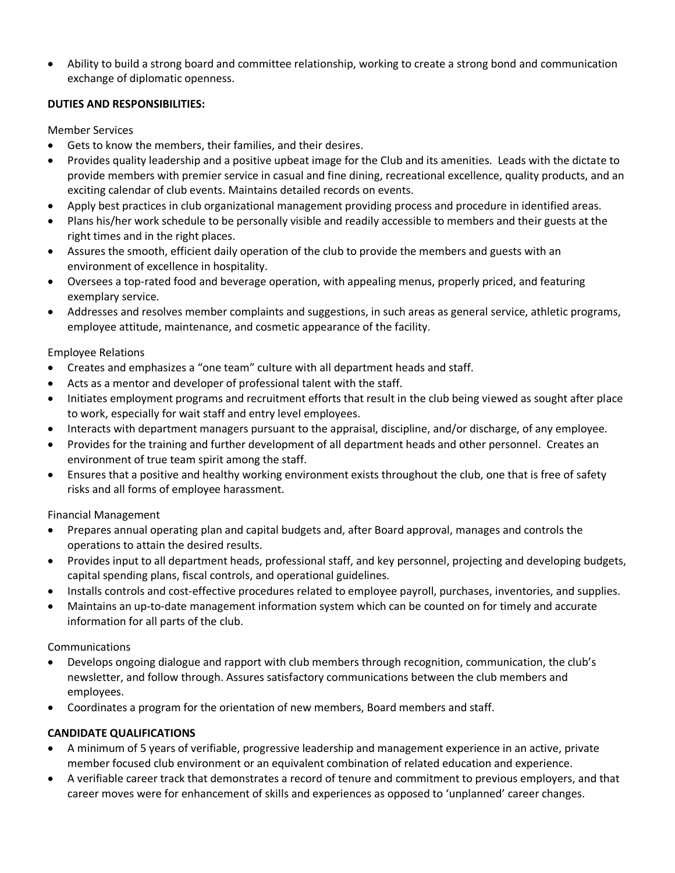• Ability to build a strong board and committee relationship, working to create a strong bond and communication exchange of diplomatic openness.

# **DUTIES AND RESPONSIBILITIES:**

Member Services

- Gets to know the members, their families, and their desires.
- Provides quality leadership and a positive upbeat image for the Club and its amenities. Leads with the dictate to provide members with premier service in casual and fine dining, recreational excellence, quality products, and an exciting calendar of club events. Maintains detailed records on events.
- Apply best practices in club organizational management providing process and procedure in identified areas.
- Plans his/her work schedule to be personally visible and readily accessible to members and their guests at the right times and in the right places.
- Assures the smooth, efficient daily operation of the club to provide the members and guests with an environment of excellence in hospitality.
- Oversees a top-rated food and beverage operation, with appealing menus, properly priced, and featuring exemplary service.
- Addresses and resolves member complaints and suggestions, in such areas as general service, athletic programs, employee attitude, maintenance, and cosmetic appearance of the facility.

# Employee Relations

- Creates and emphasizes a "one team" culture with all department heads and staff.
- Acts as a mentor and developer of professional talent with the staff.
- Initiates employment programs and recruitment efforts that result in the club being viewed as sought after place to work, especially for wait staff and entry level employees.
- Interacts with department managers pursuant to the appraisal, discipline, and/or discharge, of any employee.
- Provides for the training and further development of all department heads and other personnel. Creates an environment of true team spirit among the staff.
- Ensures that a positive and healthy working environment exists throughout the club, one that is free of safety risks and all forms of employee harassment.

# Financial Management

- Prepares annual operating plan and capital budgets and, after Board approval, manages and controls the operations to attain the desired results.
- Provides input to all department heads, professional staff, and key personnel, projecting and developing budgets, capital spending plans, fiscal controls, and operational guidelines.
- Installs controls and cost-effective procedures related to employee payroll, purchases, inventories, and supplies.
- Maintains an up-to-date management information system which can be counted on for timely and accurate information for all parts of the club.

# Communications

- Develops ongoing dialogue and rapport with club members through recognition, communication, the club's newsletter, and follow through. Assures satisfactory communications between the club members and employees.
- Coordinates a program for the orientation of new members, Board members and staff.

# **CANDIDATE QUALIFICATIONS**

- A minimum of 5 years of verifiable, progressive leadership and management experience in an active, private member focused club environment or an equivalent combination of related education and experience.
- A verifiable career track that demonstrates a record of tenure and commitment to previous employers, and that career moves were for enhancement of skills and experiences as opposed to 'unplanned' career changes.